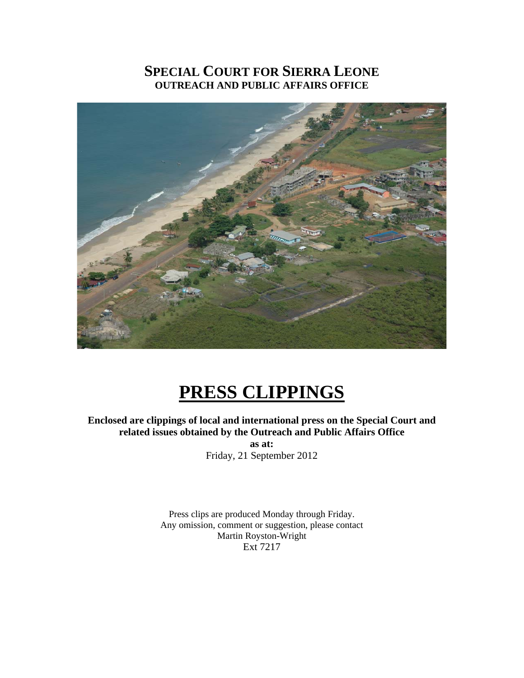## **SPECIAL COURT FOR SIERRA LEONE OUTREACH AND PUBLIC AFFAIRS OFFICE**



# **PRESS CLIPPINGS**

**Enclosed are clippings of local and international press on the Special Court and related issues obtained by the Outreach and Public Affairs Office** 

> **as at:**  Friday, 21 September 2012

Press clips are produced Monday through Friday. Any omission, comment or suggestion, please contact Martin Royston-Wright Ext 7217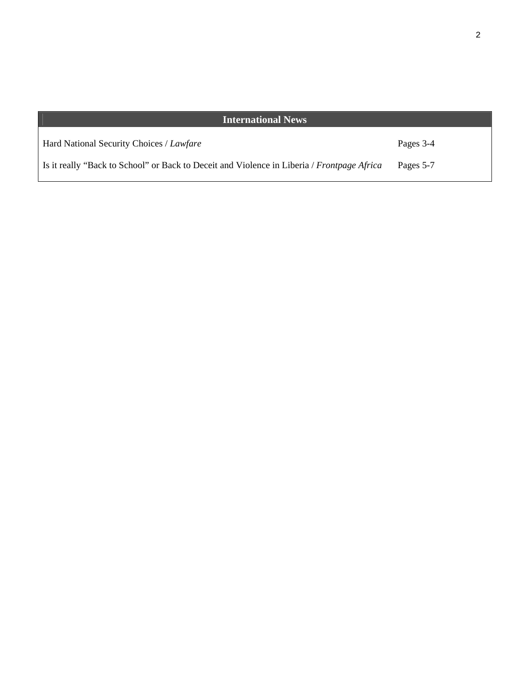## **International News**

| Hard National Security Choices / Lawfare                                                   | Pages 3-4 |
|--------------------------------------------------------------------------------------------|-----------|
| Is it really "Back to School" or Back to Deceit and Violence in Liberia / Frontpage Africa | Pages 5-7 |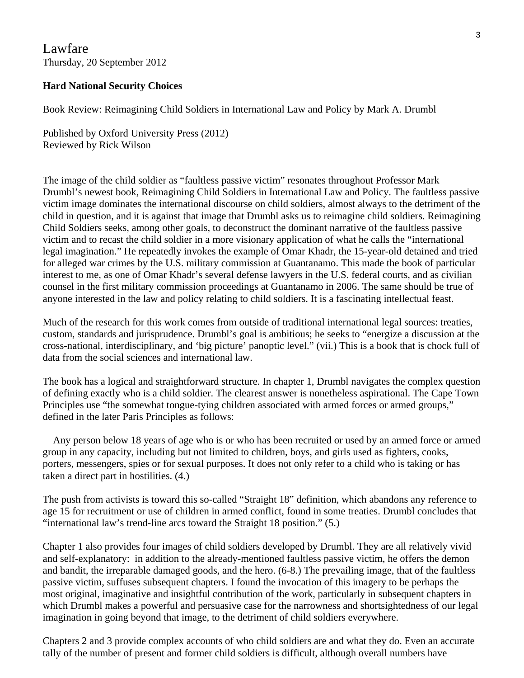Lawfare Thursday, 20 September 2012

### **Hard National Security Choices**

Book Review: Reimagining Child Soldiers in International Law and Policy by Mark A. Drumbl

Published by Oxford University Press (2012) Reviewed by Rick Wilson

The image of the child soldier as "faultless passive victim" resonates throughout Professor Mark Drumbl's newest book, Reimagining Child Soldiers in International Law and Policy. The faultless passive victim image dominates the international discourse on child soldiers, almost always to the detriment of the child in question, and it is against that image that Drumbl asks us to reimagine child soldiers. Reimagining Child Soldiers seeks, among other goals, to deconstruct the dominant narrative of the faultless passive victim and to recast the child soldier in a more visionary application of what he calls the "international legal imagination." He repeatedly invokes the example of Omar Khadr, the 15-year-old detained and tried for alleged war crimes by the U.S. military commission at Guantanamo. This made the book of particular interest to me, as one of Omar Khadr's several defense lawyers in the U.S. federal courts, and as civilian counsel in the first military commission proceedings at Guantanamo in 2006. The same should be true of anyone interested in the law and policy relating to child soldiers. It is a fascinating intellectual feast.

Much of the research for this work comes from outside of traditional international legal sources: treaties, custom, standards and jurisprudence. Drumbl's goal is ambitious; he seeks to "energize a discussion at the cross-national, interdisciplinary, and 'big picture' panoptic level." (vii.) This is a book that is chock full of data from the social sciences and international law.

The book has a logical and straightforward structure. In chapter 1, Drumbl navigates the complex question of defining exactly who is a child soldier. The clearest answer is nonetheless aspirational. The Cape Town Principles use "the somewhat tongue-tying children associated with armed forces or armed groups," defined in the later Paris Principles as follows:

 Any person below 18 years of age who is or who has been recruited or used by an armed force or armed group in any capacity, including but not limited to children, boys, and girls used as fighters, cooks, porters, messengers, spies or for sexual purposes. It does not only refer to a child who is taking or has taken a direct part in hostilities. (4.)

The push from activists is toward this so-called "Straight 18" definition, which abandons any reference to age 15 for recruitment or use of children in armed conflict, found in some treaties. Drumbl concludes that "international law's trend-line arcs toward the Straight 18 position." (5.)

Chapter 1 also provides four images of child soldiers developed by Drumbl. They are all relatively vivid and self-explanatory: in addition to the already-mentioned faultless passive victim, he offers the demon and bandit, the irreparable damaged goods, and the hero. (6-8.) The prevailing image, that of the faultless passive victim, suffuses subsequent chapters. I found the invocation of this imagery to be perhaps the most original, imaginative and insightful contribution of the work, particularly in subsequent chapters in which Drumbl makes a powerful and persuasive case for the narrowness and shortsightedness of our legal imagination in going beyond that image, to the detriment of child soldiers everywhere.

Chapters 2 and 3 provide complex accounts of who child soldiers are and what they do. Even an accurate tally of the number of present and former child soldiers is difficult, although overall numbers have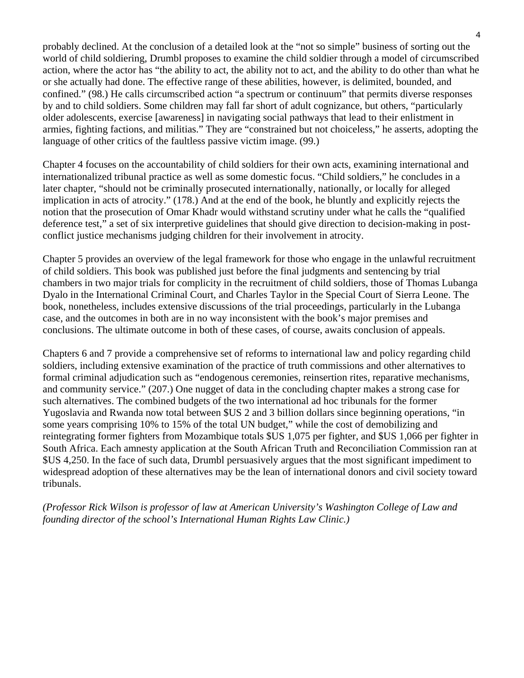probably declined. At the conclusion of a detailed look at the "not so simple" business of sorting out the world of child soldiering, Drumbl proposes to examine the child soldier through a model of circumscribed action, where the actor has "the ability to act, the ability not to act, and the ability to do other than what he or she actually had done. The effective range of these abilities, however, is delimited, bounded, and confined." (98.) He calls circumscribed action "a spectrum or continuum" that permits diverse responses by and to child soldiers. Some children may fall far short of adult cognizance, but others, "particularly older adolescents, exercise [awareness] in navigating social pathways that lead to their enlistment in armies, fighting factions, and militias." They are "constrained but not choiceless," he asserts, adopting the language of other critics of the faultless passive victim image. (99.)

Chapter 4 focuses on the accountability of child soldiers for their own acts, examining international and internationalized tribunal practice as well as some domestic focus. "Child soldiers," he concludes in a later chapter, "should not be criminally prosecuted internationally, nationally, or locally for alleged implication in acts of atrocity." (178.) And at the end of the book, he bluntly and explicitly rejects the notion that the prosecution of Omar Khadr would withstand scrutiny under what he calls the "qualified deference test," a set of six interpretive guidelines that should give direction to decision-making in postconflict justice mechanisms judging children for their involvement in atrocity.

Chapter 5 provides an overview of the legal framework for those who engage in the unlawful recruitment of child soldiers. This book was published just before the final judgments and sentencing by trial chambers in two major trials for complicity in the recruitment of child soldiers, those of Thomas Lubanga Dyalo in the International Criminal Court, and Charles Taylor in the Special Court of Sierra Leone. The book, nonetheless, includes extensive discussions of the trial proceedings, particularly in the Lubanga case, and the outcomes in both are in no way inconsistent with the book's major premises and conclusions. The ultimate outcome in both of these cases, of course, awaits conclusion of appeals.

Chapters 6 and 7 provide a comprehensive set of reforms to international law and policy regarding child soldiers, including extensive examination of the practice of truth commissions and other alternatives to formal criminal adjudication such as "endogenous ceremonies, reinsertion rites, reparative mechanisms, and community service." (207.) One nugget of data in the concluding chapter makes a strong case for such alternatives. The combined budgets of the two international ad hoc tribunals for the former Yugoslavia and Rwanda now total between \$US 2 and 3 billion dollars since beginning operations, "in some years comprising 10% to 15% of the total UN budget," while the cost of demobilizing and reintegrating former fighters from Mozambique totals \$US 1,075 per fighter, and \$US 1,066 per fighter in South Africa. Each amnesty application at the South African Truth and Reconciliation Commission ran at \$US 4,250. In the face of such data, Drumbl persuasively argues that the most significant impediment to widespread adoption of these alternatives may be the lean of international donors and civil society toward tribunals.

*(Professor Rick Wilson is professor of law at American University's Washington College of Law and founding director of the school's International Human Rights Law Clinic.)*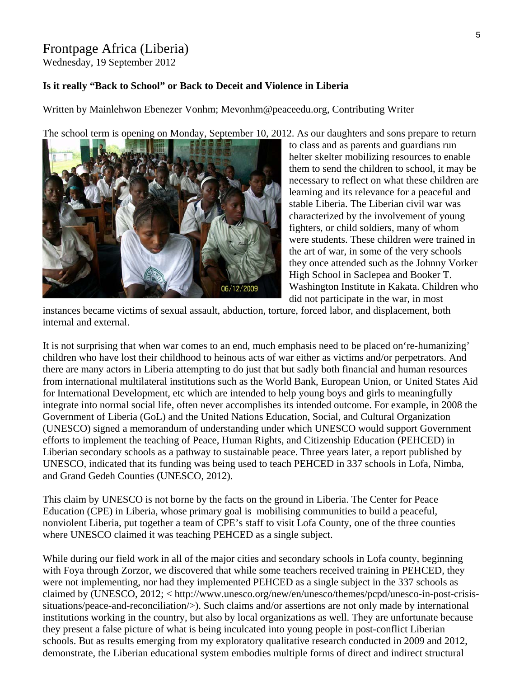## Frontpage Africa (Liberia)

Wednesday, 19 September 2012

### **Is it really "Back to School" or Back to Deceit and Violence in Liberia**

Written by Mainlehwon Ebenezer Vonhm; Mevonhm@peaceedu.org, Contributing Writer

The school term is opening on Monday, September 10, 2012. As our daughters and sons prepare to return



to class and as parents and guardians run helter skelter mobilizing resources to enable them to send the children to school, it may be necessary to reflect on what these children are learning and its relevance for a peaceful and stable Liberia. The Liberian civil war was characterized by the involvement of young fighters, or child soldiers, many of whom were students. These children were trained in the art of war, in some of the very schools they once attended such as the Johnny Vorker High School in Saclepea and Booker T. Washington Institute in Kakata. Children who did not participate in the war, in most

instances became victims of sexual assault, abduction, torture, forced labor, and displacement, both internal and external.

It is not surprising that when war comes to an end, much emphasis need to be placed on're-humanizing' children who have lost their childhood to heinous acts of war either as victims and/or perpetrators. And there are many actors in Liberia attempting to do just that but sadly both financial and human resources from international multilateral institutions such as the World Bank, European Union, or United States Aid for International Development, etc which are intended to help young boys and girls to meaningfully integrate into normal social life, often never accomplishes its intended outcome. For example, in 2008 the Government of Liberia (GoL) and the United Nations Education, Social, and Cultural Organization (UNESCO) signed a memorandum of understanding under which UNESCO would support Government efforts to implement the teaching of Peace, Human Rights, and Citizenship Education (PEHCED) in Liberian secondary schools as a pathway to sustainable peace. Three years later, a report published by UNESCO, indicated that its funding was being used to teach PEHCED in 337 schools in Lofa, Nimba, and Grand Gedeh Counties (UNESCO, 2012).

This claim by UNESCO is not borne by the facts on the ground in Liberia. The Center for Peace Education (CPE) in Liberia, whose primary goal is mobilising communities to build a peaceful, nonviolent Liberia, put together a team of CPE's staff to visit Lofa County, one of the three counties where UNESCO claimed it was teaching PEHCED as a single subject.

While during our field work in all of the major cities and secondary schools in Lofa county, beginning with Foya through Zorzor, we discovered that while some teachers received training in PEHCED, they were not implementing, nor had they implemented PEHCED as a single subject in the 337 schools as claimed by (UNESCO, 2012; < http://www.unesco.org/new/en/unesco/themes/pcpd/unesco-in-post-crisissituations/peace-and-reconciliation/>). Such claims and/or assertions are not only made by international institutions working in the country, but also by local organizations as well. They are unfortunate because they present a false picture of what is being inculcated into young people in post-conflict Liberian schools. But as results emerging from my exploratory qualitative research conducted in 2009 and 2012, demonstrate, the Liberian educational system embodies multiple forms of direct and indirect structural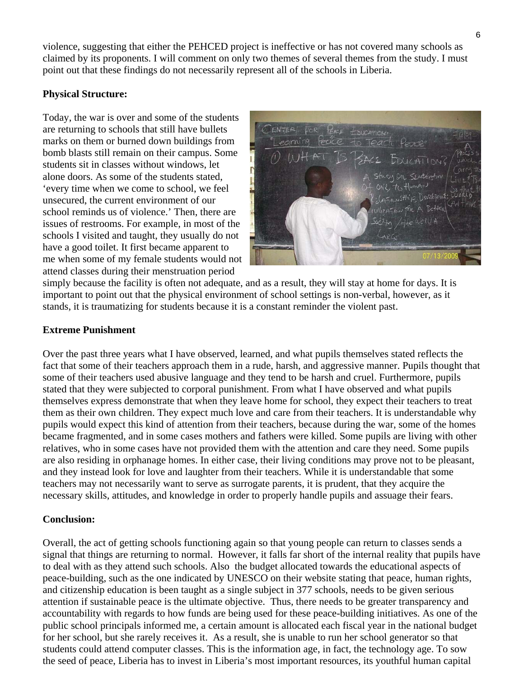violence, suggesting that either the PEHCED project is ineffective or has not covered many schools as claimed by its proponents. I will comment on only two themes of several themes from the study. I must point out that these findings do not necessarily represent all of the schools in Liberia.

## **Physical Structure:**

Today, the war is over and some of the students are returning to schools that still have bullets marks on them or burned down buildings from bomb blasts still remain on their campus. Some students sit in classes without windows, let alone doors. As some of the students stated, 'every time when we come to school, we feel unsecured, the current environment of our school reminds us of violence.' Then, there are issues of restrooms. For example, in most of the schools I visited and taught, they usually do not have a good toilet. It first became apparent to me when some of my female students would n ot attend classes during their menstruation perio d



simply because the facility is often not adequate, and as a result, they will stay at home for days. It is important to point out that the physical environment of school settings is non-verbal, however, as it stands, it is traumatizing for students because it is a constant reminder the violent past.

## **Extreme Punishment**

Over the past three years what I have observed, learned, and what pupils themselves stated reflects the fact that some of their teachers approach them in a rude, harsh, and aggressive manner. Pupils thought that some of their teachers used abusive language and they tend to be harsh and cruel. Furthermore, pupils stated that they were subjected to corporal punishment. From what I have observed and what pupils themselves express demonstrate that when they leave home for school, they expect their teachers to treat them as their own children. They expect much love and care from their teachers. It is understandable why pupils would expect this kind of attention from their teachers, because during the war, some of the homes became fragmented, and in some cases mothers and fathers were killed. Some pupils are living with other relatives, who in some cases have not provided them with the attention and care they need. Some pupils are also residing in orphanage homes. In either case, their living conditions may prove not to be pleasant, and they instead look for love and laughter from their teachers. While it is understandable that some teachers may not necessarily want to serve as surrogate parents, it is prudent, that they acquire the necessary skills, attitudes, and knowledge in order to properly handle pupils and assuage their fears.

#### **Conclusion:**

Overall, the act of getting schools functioning again so that young people can return to classes sends a signal that things are returning to normal. However, it falls far short of the internal reality that pupils have to deal with as they attend such schools. Also the budget allocated towards the educational aspects of peace-building, such as the one indicated by UNESCO on their website stating that peace, human rights, and citizenship education is been taught as a single subject in 377 schools, needs to be given serious attention if sustainable peace is the ultimate objective. Thus, there needs to be greater transparency and accountability with regards to how funds are being used for these peace-building initiatives. As one of the public school principals informed me, a certain amount is allocated each fiscal year in the national budget for her school, but she rarely receives it. As a result, she is unable to run her school generator so that students could attend computer classes. This is the information age, in fact, the technology age. To sow the seed of peace, Liberia has to invest in Liberia's most important resources, its youthful human capital